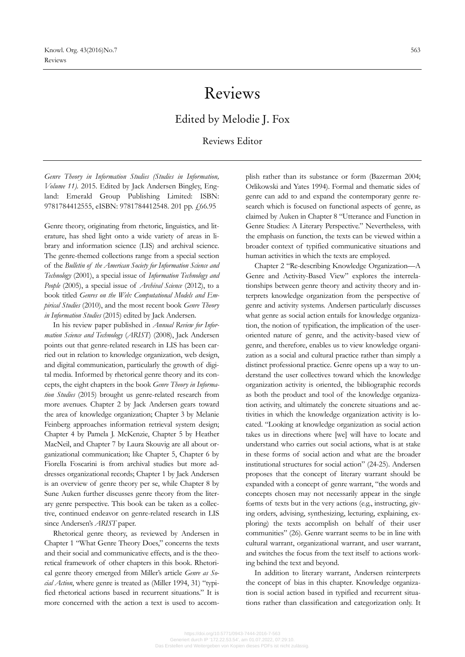# Reviews

## Edited by Melodie J. Fox

## Reviews Editor

*Genre Theory in Information Studies (Studies in Information, Volume 11).* 2015. Edited by Jack Andersen Bingley, England: Emerald Group Publishing Limited: ISBN: 9781784412555, eISBN: 9781784412548. 201 pp.  $\frac{1}{66.95}$ 

Genre theory, originating from rhetoric, linguistics, and literature, has shed light onto a wide variety of areas in library and information science (LIS) and archival science. The genre-themed collections range from a special section of the *Bulletin of the American Society for Information Science and Technology* (2001), a special issue of *Information Technology and People* (2005), a special issue of *Archival Science* (2012), to a book titled *Genres on the Web: Computational Models and Empirical Studies* (2010), and the most recent book *Genre Theory in Information Studies* (2015) edited by Jack Andersen.

In his review paper published in *Annual Review for Information Science and Technology* (*ARIST*) (2008), Jack Andersen points out that genre-related research in LIS has been carried out in relation to knowledge organization, web design, and digital communication, particularly the growth of digital media. Informed by rhetorical genre theory and its concepts, the eight chapters in the book *Genre Theory in Information Studies* (2015) brought us genre-related research from more avenues. Chapter 2 by Jack Andersen gears toward the area of knowledge organization; Chapter 3 by Melanie Feinberg approaches information retrieval system design; Chapter 4 by Pamela J. McKenzie, Chapter 5 by Heather MacNeil, and Chapter 7 by Laura Skouvig are all about organizational communication; like Chapter 5, Chapter 6 by Fiorella Foscarini is from archival studies but more addresses organizational records; Chapter 1 by Jack Andersen is an overview of genre theory per se, while Chapter 8 by Sune Auken further discusses genre theory from the literary genre perspective. This book can be taken as a collective, continued endeavor on genre-related research in LIS since Andersen's *ARIST* paper.

Rhetorical genre theory, as reviewed by Andersen in Chapter 1 "What Genre Theory Does," concerns the texts and their social and communicative effects, and is the theoretical framework of other chapters in this book. Rhetorical genre theory emerged from Miller's article *Genre as Social Action*, where genre is treated as (Miller 1994, 31) "typified rhetorical actions based in recurrent situations." It is more concerned with the action a text is used to accomplish rather than its substance or form (Bazerman 2004; Orlikowski and Yates 1994). Formal and thematic sides of genre can add to and expand the contemporary genre research which is focused on functional aspects of genre, as claimed by Auken in Chapter 8 "Utterance and Function in Genre Studies: A Literary Perspective." Nevertheless, with the emphasis on function, the texts can be viewed within a broader context of typified communicative situations and human activities in which the texts are employed.

Chapter 2 "Re-describing Knowledge Organization—A Genre and Activity-Based View" explores the interrelationships between genre theory and activity theory and interprets knowledge organization from the perspective of genre and activity systems. Andersen particularly discusses what genre as social action entails for knowledge organization, the notion of typification, the implication of the useroriented nature of genre, and the activity-based view of genre, and therefore, enables us to view knowledge organization as a social and cultural practice rather than simply a distinct professional practice. Genre opens up a way to understand the user collectives toward which the knowledge organization activity is oriented, the bibliographic records as both the product and tool of the knowledge organization activity, and ultimately the concrete situations and activities in which the knowledge organization activity is located. "Looking at knowledge organization as social action takes us in directions where [we] will have to locate and understand who carries out social actions, what is at stake in these forms of social action and what are the broader institutional structures for social action" (24-25). Andersen proposes that the concept of literary warrant should be expanded with a concept of genre warrant, "the words and concepts chosen may not necessarily appear in the single forms of texts but in the very actions (e.g., instructing, giving orders, advising, synthesizing, lecturing, explaining, exploring) the texts accomplish on behalf of their user communities" (26). Genre warrant seems to be in line with cultural warrant, organizational warrant, and user warrant, and switches the focus from the text itself to actions working behind the text and beyond.

In addition to literary warrant, Andersen reinterprets the concept of bias in this chapter. Knowledge organization is social action based in typified and recurrent situations rather than classification and categorization only. It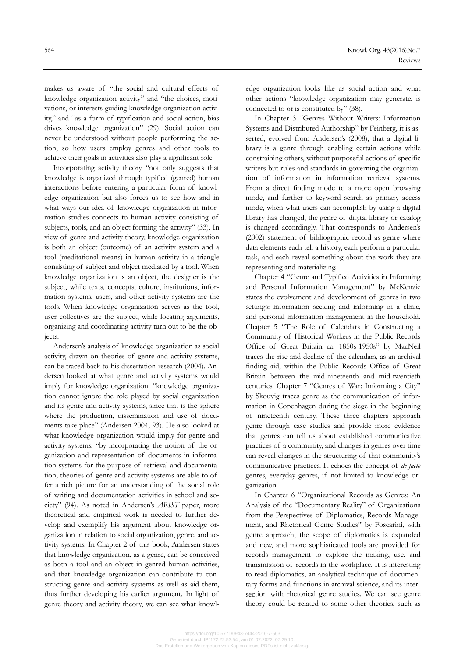makes us aware of "the social and cultural effects of knowledge organization activity" and "the choices, motivations, or interests guiding knowledge organization activity," and "as a form of typification and social action, bias drives knowledge organization" (29). Social action can never be understood without people performing the action, so how users employ genres and other tools to achieve their goals in activities also play a significant role.

Incorporating activity theory "not only suggests that knowledge is organized through typified (genred) human interactions before entering a particular form of knowledge organization but also forces us to see how and in what ways our idea of knowledge organization in information studies connects to human activity consisting of subjects, tools, and an object forming the activity" (33). In view of genre and activity theory, knowledge organization is both an object (outcome) of an activity system and a tool (meditational means) in human activity in a triangle consisting of subject and object mediated by a tool. When knowledge organization is an object, the designer is the subject, while texts, concepts, culture, institutions, information systems, users, and other activity systems are the tools. When knowledge organization serves as the tool, user collectives are the subject, while locating arguments, organizing and coordinating activity turn out to be the objects.

Andersen's analysis of knowledge organization as social activity, drawn on theories of genre and activity systems, can be traced back to his dissertation research (2004). Andersen looked at what genre and activity systems would imply for knowledge organization: "knowledge organization cannot ignore the role played by social organization and its genre and activity systems, since that is the sphere where the production, dissemination and use of documents take place" (Andersen 2004, 93). He also looked at what knowledge organization would imply for genre and activity systems, "by incorporating the notion of the organization and representation of documents in information systems for the purpose of retrieval and documentation, theories of genre and activity systems are able to offer a rich picture for an understanding of the social role of writing and documentation activities in school and society" (94). As noted in Andersen's *ARIST* paper, more theoretical and empirical work is needed to further develop and exemplify his argument about knowledge organization in relation to social organization, genre, and activity systems. In Chapter 2 of this book, Andersen states that knowledge organization, as a genre, can be conceived as both a tool and an object in genred human activities, and that knowledge organization can contribute to constructing genre and activity systems as well as aid them, thus further developing his earlier argument. In light of genre theory and activity theory, we can see what knowledge organization looks like as social action and what other actions "knowledge organization may generate, is connected to or is constituted by" (38).

In Chapter 3 "Genres Without Writers: Information Systems and Distributed Authorship" by Feinberg, it is asserted, evolved from Andersen's (2008), that a digital library is a genre through enabling certain actions while constraining others, without purposeful actions of specific writers but rules and standards in governing the organization of information in information retrieval systems. From a direct finding mode to a more open browsing mode, and further to keyword search as primary access mode, when what users can accomplish by using a digital library has changed, the genre of digital library or catalog is changed accordingly. That corresponds to Andersen's (2002) statement of bibliographic record as genre where data elements each tell a history, each perform a particular task, and each reveal something about the work they are representing and materializing.

Chapter 4 "Genre and Typified Activities in Informing and Personal Information Management" by McKenzie states the evolvement and development of genres in two settings: information seeking and informing in a clinic, and personal information management in the household. Chapter 5 "The Role of Calendars in Constructing a Community of Historical Workers in the Public Records Office of Great Britain ca. 1850s-1950s" by MacNeil traces the rise and decline of the calendars, as an archival finding aid, within the Public Records Office of Great Britain between the mid-nineteenth and mid-twentieth centuries. Chapter 7 "Genres of War: Informing a City" by Skouvig traces genre as the communication of information in Copenhagen during the siege in the beginning of nineteenth century. These three chapters approach genre through case studies and provide more evidence that genres can tell us about established communicative practices of a community, and changes in genres over time can reveal changes in the structuring of that community's communicative practices. It echoes the concept of *de facto* genres, everyday genres, if not limited to knowledge organization.

In Chapter 6 "Organizational Records as Genres: An Analysis of the "Documentary Reality" of Organizations from the Perspectives of Diplomatics, Records Management, and Rhetorical Genre Studies" by Foscarini, with genre approach, the scope of diplomatics is expanded and new, and more sophisticated tools are provided for records management to explore the making, use, and transmission of records in the workplace. It is interesting to read diplomatics, an analytical technique of documentary forms and functions in archival science, and its intersection with rhetorical genre studies. We can see genre theory could be related to some other theories, such as